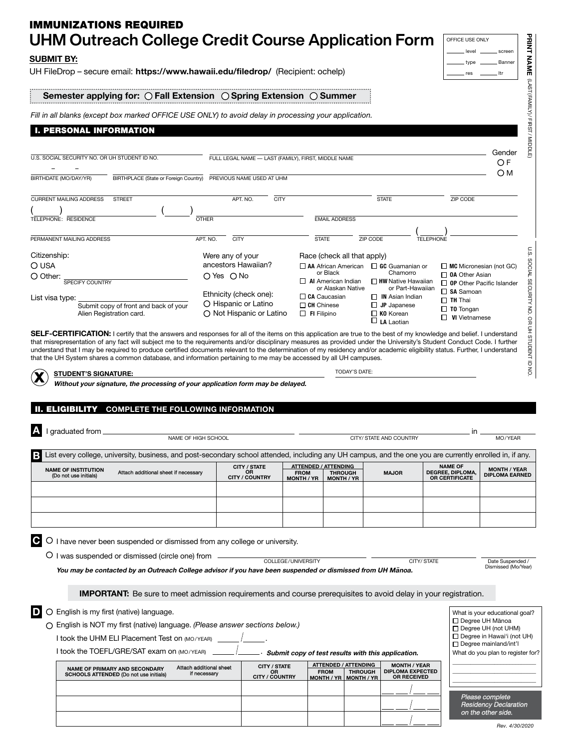| UHM Outreach College Credit Course Application Form<br><b>SUBMIT BY:</b>                                                                                                                                                                                                                                                                            |                                                |                                                           |                                         |                                                                    |                                                    |                                                                      | level                                                   | screen                                                            |
|-----------------------------------------------------------------------------------------------------------------------------------------------------------------------------------------------------------------------------------------------------------------------------------------------------------------------------------------------------|------------------------------------------------|-----------------------------------------------------------|-----------------------------------------|--------------------------------------------------------------------|----------------------------------------------------|----------------------------------------------------------------------|---------------------------------------------------------|-------------------------------------------------------------------|
| UH FileDrop - secure email: https://www.hawaii.edu/filedrop/ (Recipient: ochelp)                                                                                                                                                                                                                                                                    |                                                |                                                           |                                         |                                                                    |                                                    |                                                                      | type<br>res                                             | Banner<br>. Itr                                                   |
| Semester applying for: $\bigcirc$ Fall Extension $\bigcirc$ Spring Extension $\bigcirc$ Summer                                                                                                                                                                                                                                                      |                                                |                                                           |                                         |                                                                    |                                                    |                                                                      |                                                         |                                                                   |
| Fill in all blanks (except box marked OFFICE USE ONLY) to avoid delay in processing your application.                                                                                                                                                                                                                                               |                                                |                                                           |                                         |                                                                    |                                                    |                                                                      |                                                         |                                                                   |
| <b>I. PERSONAL INFORMATION</b>                                                                                                                                                                                                                                                                                                                      |                                                |                                                           |                                         |                                                                    |                                                    |                                                                      |                                                         |                                                                   |
|                                                                                                                                                                                                                                                                                                                                                     |                                                |                                                           |                                         |                                                                    |                                                    |                                                                      |                                                         | Gender                                                            |
| U.S. SOCIAL SECURITY NO. OR UH STUDENT ID NO.                                                                                                                                                                                                                                                                                                       |                                                | FULL LEGAL NAME - LAST (FAMILY), FIRST, MIDDLE NAME       |                                         |                                                                    |                                                    |                                                                      |                                                         | OF<br>ОМ                                                          |
| BIRTHDATE (MO/DAY/YR)<br>BIRTHPLACE (State or Foreign Country)                                                                                                                                                                                                                                                                                      |                                                | PREVIOUS NAME USED AT UHM                                 |                                         |                                                                    |                                                    |                                                                      |                                                         |                                                                   |
| <b>CURRENT MAILING ADDRESS</b><br><b>STREET</b>                                                                                                                                                                                                                                                                                                     |                                                | APT. NO.<br><b>CITY</b>                                   |                                         |                                                                    | <b>STATE</b>                                       |                                                                      | <b>ZIP CODE</b>                                         |                                                                   |
| TELEPHONE: RESIDENCE                                                                                                                                                                                                                                                                                                                                | <b>OTHER</b>                                   |                                                           |                                         | <b>EMAIL ADDRESS</b>                                               |                                                    |                                                                      |                                                         |                                                                   |
|                                                                                                                                                                                                                                                                                                                                                     |                                                |                                                           |                                         |                                                                    |                                                    |                                                                      |                                                         |                                                                   |
| PERMANENT MAILING ADDRESS                                                                                                                                                                                                                                                                                                                           | APT. NO.<br><b>CITY</b>                        |                                                           | <b>STATE</b>                            |                                                                    | ZIP CODE                                           | <b>TELEPHONE</b>                                                     |                                                         |                                                                   |
| Citizenship:<br>O USA                                                                                                                                                                                                                                                                                                                               | Were any of your<br>ancestors Hawaiian?        |                                                           |                                         | Race (check all that apply)                                        | $\Box$ AA African American $\Box$ GC Guamanian or  |                                                                      | $\Box$ MC Micronesian (not GC)                          |                                                                   |
| O Other:                                                                                                                                                                                                                                                                                                                                            | O Yes O No                                     |                                                           |                                         | or Black                                                           | Chamorro                                           |                                                                      | <b>DA</b> Other Asian                                   |                                                                   |
| <b>SPECIFY COUNTRY</b>                                                                                                                                                                                                                                                                                                                              |                                                |                                                           |                                         | $\Box$ Al American Indian<br>or Alaskan Native                     | $\Box$ HW Native Hawaiian                          | or Part-Hawaiian                                                     | $\Box$ OP Other Pacific Islander<br>$\square$ SA Samoan |                                                                   |
| List visa type:                                                                                                                                                                                                                                                                                                                                     | Ethnicity (check one):<br>O Hispanic or Latino |                                                           | $\Box$ CA Caucasian                     |                                                                    | $\Box$ IN Asian Indian                             |                                                                      | $\Box$ TH Thai                                          |                                                                   |
| Submit copy of front and back of your<br>Alien Registration card.                                                                                                                                                                                                                                                                                   |                                                | O Not Hispanic or Latino                                  | $\Box$ CH Chinese<br>$\Box$ FI Filipino |                                                                    | $\Box$ JP Japanese<br>$\Box$ KO Korean             |                                                                      | $\Box$ T0 Tongan<br>$\Box$ VI Vietnamese                |                                                                   |
| <b>SELF-CERTIFICATION:</b> I certify that the answers and responses for all of the items on this application are true to the best of my knowledge and belief. I understand                                                                                                                                                                          |                                                |                                                           |                                         |                                                                    | $\sqcup$ LA Laotian                                |                                                                      |                                                         |                                                                   |
| <b>STUDENT'S SIGNATURE:</b><br>Without your signature, the processing of your application form may be delayed.                                                                                                                                                                                                                                      |                                                |                                                           |                                         | TODAY'S DATE:                                                      |                                                    |                                                                      |                                                         |                                                                   |
| <b>COMPLETE THE FOLLOWING INFORMATION</b><br>graduated from                                                                                                                                                                                                                                                                                         |                                                |                                                           |                                         |                                                                    |                                                    |                                                                      |                                                         |                                                                   |
|                                                                                                                                                                                                                                                                                                                                                     | NAME OF HIGH SCHOOL                            |                                                           |                                         |                                                                    | CITY/ STATE AND COUNTRY                            |                                                                      |                                                         | MO/YEAR                                                           |
| List every college, university, business, and post-secondary school attended, including any UH campus, and the one you are currently enrolled in, if any.<br><b>NAME OF INSTITUTION</b><br>Attach additional sheet if necessary<br>(Do not use initials)                                                                                            |                                                | <b>CITY / STATE</b><br>OR<br>CITY / COUNTRY               | <b>FROM</b><br><b>MONTH / YR</b>        | <b>ATTENDED / ATTENDING</b><br><b>THROUGH</b><br><b>MONTH / YR</b> | <b>MAJOR</b>                                       |                                                                      | <b>NAME OF</b><br>DEGREE, DIPLOMA,<br>OR CERTIFICATE    | <b>MONTH / YEAR</b><br><b>DIPLOMA EARNED</b>                      |
|                                                                                                                                                                                                                                                                                                                                                     |                                                |                                                           |                                         |                                                                    |                                                    |                                                                      |                                                         |                                                                   |
|                                                                                                                                                                                                                                                                                                                                                     |                                                |                                                           |                                         |                                                                    |                                                    |                                                                      |                                                         |                                                                   |
|                                                                                                                                                                                                                                                                                                                                                     |                                                |                                                           |                                         |                                                                    |                                                    |                                                                      |                                                         |                                                                   |
| I have never been suspended or dismissed from any college or university.                                                                                                                                                                                                                                                                            |                                                |                                                           |                                         |                                                                    |                                                    |                                                                      |                                                         |                                                                   |
| O I was suspended or dismissed (circle one) from<br>You may be contacted by an Outreach College advisor if you have been suspended or dismissed from UH Manoa.                                                                                                                                                                                      |                                                | COLLEGE/UNIVERSITY                                        |                                         |                                                                    |                                                    | CITY/STATE                                                           |                                                         | Date Suspended /<br>Dismissed (Mo/Year)                           |
| <b>IMPORTANT:</b> Be sure to meet admission requirements and course prerequisites to avoid delay in your registration.                                                                                                                                                                                                                              |                                                |                                                           |                                         |                                                                    |                                                    |                                                                      |                                                         |                                                                   |
| O English is my first (native) language.                                                                                                                                                                                                                                                                                                            |                                                |                                                           |                                         |                                                                    |                                                    |                                                                      |                                                         | What is your educational goal?                                    |
| O English is NOT my first (native) language. (Please answer sections below.)                                                                                                                                                                                                                                                                        |                                                |                                                           |                                         |                                                                    |                                                    |                                                                      |                                                         | □ Degree UH Mānoa                                                 |
| I took the UHM ELI Placement Test on (MO/YEAR)                                                                                                                                                                                                                                                                                                      |                                                |                                                           |                                         |                                                                    |                                                    |                                                                      |                                                         | $\Box$ Degree UH (not UHM)<br>$\Box$ Degree in Hawai'i (not UH)   |
| I took the TOEFL/GRE/SAT exam on (MO/YEAR)                                                                                                                                                                                                                                                                                                          |                                                |                                                           |                                         |                                                                    | Submit copy of test results with this application. |                                                                      |                                                         | $\Box$ Degree mainland/int'l<br>What do you plan to register for? |
| <b>NAME OF PRIMARY AND SECONDARY</b><br>SCHOOLS ATTENDED (Do not use initials)                                                                                                                                                                                                                                                                      | Attach additional sheet<br>if necessary        | <b>CITY / STATE</b><br><b>OR</b><br><b>CITY / COUNTRY</b> |                                         | <b>ATTENDED / ATTENDING</b><br><b>FROM</b><br><b>THROUGH</b>       |                                                    | <b>MONTH / YEAR</b><br><b>DIPLOMA EXPECTED</b><br><b>OR RECEIVED</b> |                                                         |                                                                   |
|                                                                                                                                                                                                                                                                                                                                                     |                                                |                                                           |                                         | <u>MONTH / YR   MONTH / YR</u>                                     |                                                    |                                                                      |                                                         |                                                                   |
|                                                                                                                                                                                                                                                                                                                                                     |                                                |                                                           |                                         |                                                                    |                                                    |                                                                      |                                                         | Please complete                                                   |
| understand that I may be required to produce certified documents relevant to the determination of my residency and/or academic eligibility status. Further, I understand<br>that the UH System shares a common database, and information pertaining to me may be accessed by all UH campuses.<br><b>II. ELIGIBILITY</b><br>в<br>$\mathbf{G}$ o<br>D |                                                |                                                           |                                         |                                                                    |                                                    |                                                                      |                                                         | <b>Residency Declaration</b><br>on the other side.                |